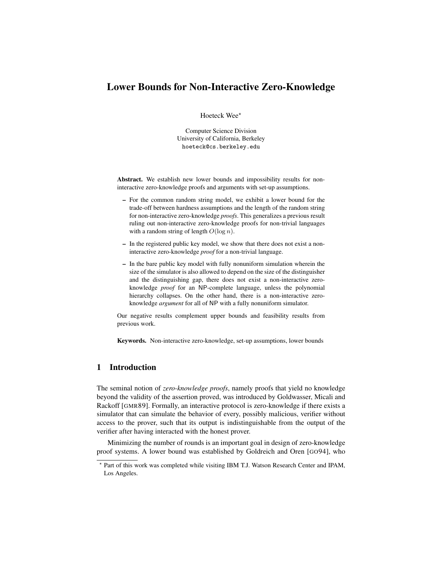# Lower Bounds for Non-Interactive Zero-Knowledge

Hoeteck Wee?

Computer Science Division University of California, Berkeley hoeteck@cs.berkeley.edu

Abstract. We establish new lower bounds and impossibility results for noninteractive zero-knowledge proofs and arguments with set-up assumptions.

- For the common random string model, we exhibit a lower bound for the trade-off between hardness assumptions and the length of the random string for non-interactive zero-knowledge *proofs*. This generalizes a previous result ruling out non-interactive zero-knowledge proofs for non-trivial languages with a random string of length  $O(\log n)$ .
- In the registered public key model, we show that there does not exist a noninteractive zero-knowledge *proof* for a non-trivial language.
- In the bare public key model with fully nonuniform simulation wherein the size of the simulator is also allowed to depend on the size of the distinguisher and the distinguishing gap, there does not exist a non-interactive zeroknowledge *proof* for an NP-complete language, unless the polynomial hierarchy collapses. On the other hand, there is a non-interactive zeroknowledge *argument* for all of NP with a fully nonuniform simulator.

Our negative results complement upper bounds and feasibility results from previous work.

Keywords. Non-interactive zero-knowledge, set-up assumptions, lower bounds

## 1 Introduction

The seminal notion of *zero-knowledge proofs*, namely proofs that yield no knowledge beyond the validity of the assertion proved, was introduced by Goldwasser, Micali and Rackoff [GMR89]. Formally, an interactive protocol is zero-knowledge if there exists a simulator that can simulate the behavior of every, possibly malicious, verifier without access to the prover, such that its output is indistinguishable from the output of the verifier after having interacted with the honest prover.

Minimizing the number of rounds is an important goal in design of zero-knowledge proof systems. A lower bound was established by Goldreich and Oren [GO94], who

<sup>?</sup> Part of this work was completed while visiting IBM T.J. Watson Research Center and IPAM, Los Angeles.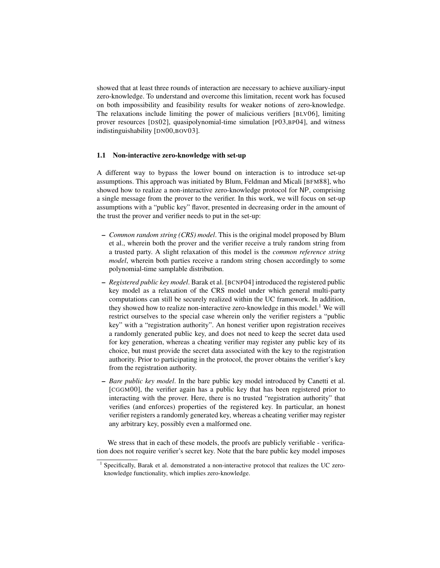showed that at least three rounds of interaction are necessary to achieve auxiliary-input zero-knowledge. To understand and overcome this limitation, recent work has focused on both impossibility and feasibility results for weaker notions of zero-knowledge. The relaxations include limiting the power of malicious verifiers [BLV06], limiting prover resources [DS02], quasipolynomial-time simulation [P03,BP04], and witness indistinguishability [DN00,BOV03].

#### 1.1 Non-interactive zero-knowledge with set-up

A different way to bypass the lower bound on interaction is to introduce set-up assumptions. This approach was initiated by Blum, Feldman and Micali [BFM88], who showed how to realize a non-interactive zero-knowledge protocol for NP, comprising a single message from the prover to the verifier. In this work, we will focus on set-up assumptions with a "public key" flavor, presented in decreasing order in the amount of the trust the prover and verifier needs to put in the set-up:

- *Common random string (CRS) model*. This is the original model proposed by Blum et al., wherein both the prover and the verifier receive a truly random string from a trusted party. A slight relaxation of this model is the *common reference string model*, wherein both parties receive a random string chosen accordingly to some polynomial-time samplable distribution.
- *Registered public key model*. Barak et al. [BCNP04] introduced the registered public key model as a relaxation of the CRS model under which general multi-party computations can still be securely realized within the UC framework. In addition, they showed how to realize non-interactive zero-knowledge in this model.<sup>1</sup> We will restrict ourselves to the special case wherein only the verifier registers a "public key" with a "registration authority". An honest verifier upon registration receives a randomly generated public key, and does not need to keep the secret data used for key generation, whereas a cheating verifier may register any public key of its choice, but must provide the secret data associated with the key to the registration authority. Prior to participating in the protocol, the prover obtains the verifier's key from the registration authority.
- *Bare public key model*. In the bare public key model introduced by Canetti et al. [CGGM00], the verifier again has a public key that has been registered prior to interacting with the prover. Here, there is no trusted "registration authority" that verifies (and enforces) properties of the registered key. In particular, an honest verifier registers a randomly generated key, whereas a cheating verifier may register any arbitrary key, possibly even a malformed one.

We stress that in each of these models, the proofs are publicly verifiable - verification does not require verifier's secret key. Note that the bare public key model imposes

<sup>&</sup>lt;sup>1</sup> Specifically, Barak et al. demonstrated a non-interactive protocol that realizes the UC zeroknowledge functionality, which implies zero-knowledge.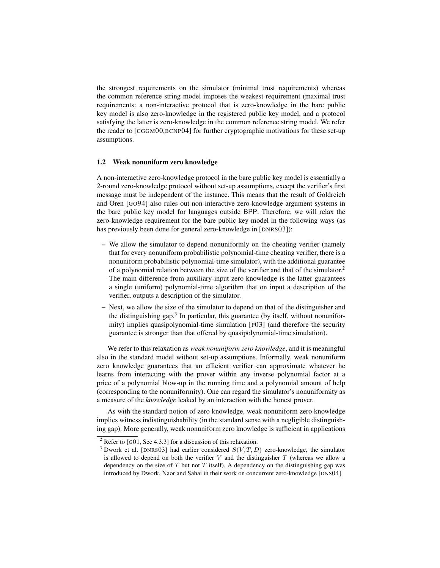the strongest requirements on the simulator (minimal trust requirements) whereas the common reference string model imposes the weakest requirement (maximal trust requirements: a non-interactive protocol that is zero-knowledge in the bare public key model is also zero-knowledge in the registered public key model, and a protocol satisfying the latter is zero-knowledge in the common reference string model. We refer the reader to [CGGM00,BCNP04] for further cryptographic motivations for these set-up assumptions.

#### 1.2 Weak nonuniform zero knowledge

A non-interactive zero-knowledge protocol in the bare public key model is essentially a 2-round zero-knowledge protocol without set-up assumptions, except the verifier's first message must be independent of the instance. This means that the result of Goldreich and Oren [GO94] also rules out non-interactive zero-knowledge argument systems in the bare public key model for languages outside BPP. Therefore, we will relax the zero-knowledge requirement for the bare public key model in the following ways (as has previously been done for general zero-knowledge in [DNRS03]):

- We allow the simulator to depend nonuniformly on the cheating verifier (namely that for every nonuniform probabilistic polynomial-time cheating verifier, there is a nonuniform probabilistic polynomial-time simulator), with the additional guarantee of a polynomial relation between the size of the verifier and that of the simulator.<sup>2</sup> The main difference from auxiliary-input zero knowledge is the latter guarantees a single (uniform) polynomial-time algorithm that on input a description of the verifier, outputs a description of the simulator.
- Next, we allow the size of the simulator to depend on that of the distinguisher and the distinguishing gap.<sup>3</sup> In particular, this guarantee (by itself, without nonuniformity) implies quasipolynomial-time simulation [P03] (and therefore the security guarantee is stronger than that offered by quasipolynomial-time simulation).

We refer to this relaxation as *weak nonuniform zero knowledge*, and it is meaningful also in the standard model without set-up assumptions. Informally, weak nonuniform zero knowledge guarantees that an efficient verifier can approximate whatever he learns from interacting with the prover within any inverse polynomial factor at a price of a polynomial blow-up in the running time and a polynomial amount of help (corresponding to the nonuniformity). One can regard the simulator's nonuniformity as a measure of the *knowledge* leaked by an interaction with the honest prover.

As with the standard notion of zero knowledge, weak nonuniform zero knowledge implies witness indistinguishability (in the standard sense with a negligible distinguishing gap). More generally, weak nonuniform zero knowledge is sufficient in applications

<sup>&</sup>lt;sup>2</sup> Refer to [G01, Sec 4.3.3] for a discussion of this relaxation.

<sup>&</sup>lt;sup>3</sup> Dwork et al. [DNRS03] had earlier considered  $S(V, T, D)$  zero-knowledge, the simulator is allowed to depend on both the verifier  $V$  and the distinguisher  $T$  (whereas we allow a dependency on the size of  $T$  but not  $T$  itself). A dependency on the distinguishing gap was introduced by Dwork, Naor and Sahai in their work on concurrent zero-knowledge [DNS04].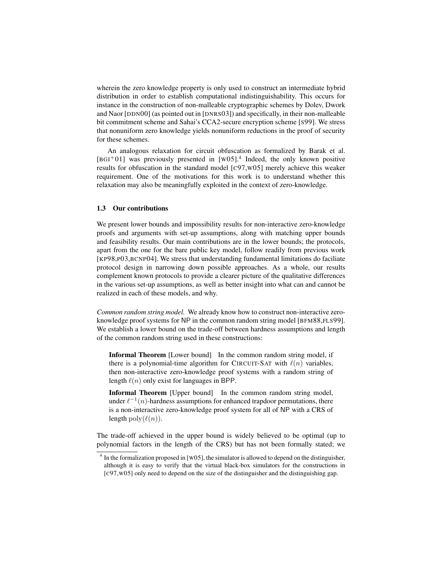wherein the zero knowledge property is only used to construct an intermediate hybrid distribution in order to establish computational indistinguishability. This occurs for instance in the construction of non-malleable cryptographic schemes by Dolev, Dwork and Naor [DDN00] (as pointed out in [DNRS03]) and specifically, in their non-malleable bit commitment scheme and Sahai's CCA2-secure encryption scheme [S99]. We stress that nonuniform zero knowledge yields nonuniform reductions in the proof of security for these schemes.

An analogous relaxation for circuit obfuscation as formalized by Barak et al. [BGI<sup>+</sup>01] was previously presented in [W05].<sup>4</sup> Indeed, the only known positive results for obfuscation in the standard model [C97,W05] merely achieve this weaker requirement. One of the motivations for this work is to understand whether this relaxation may also be meaningfully exploited in the context of zero-knowledge.

## 1.3 Our contributions

We present lower bounds and impossibility results for non-interactive zero-knowledge proofs and arguments with set-up assumptions, along with matching upper bounds and feasibility results. Our main contributions are in the lower bounds; the protocols, apart from the one for the bare public key model, follow readily from previous work [KP98,P03,BCNP04]. We stress that understanding fundamental limitations do faciliate protocol design in narrowing down possible approaches. As a whole, our results complement known protocols to provide a clearer picture of the qualitative differences in the various set-up assumptions, as well as better insight into what can and cannot be realized in each of these models, and why.

*Common random string model.* We already know how to construct non-interactive zeroknowledge proof systems for NP in the common random string model [BFM88,FLS99]. We establish a lower bound on the trade-off between hardness assumptions and length of the common random string used in these constructions:

Informal Theorem [Lower bound] In the common random string model, if there is a polynomial-time algorithm for CIRCUIT-SAT with  $\ell(n)$  variables, then non-interactive zero-knowledge proof systems with a random string of length  $\ell(n)$  only exist for languages in BPP.

Informal Theorem [Upper bound] In the common random string model, under  $\ell^{-1}(n)$ -hardness assumptions for enhanced trapdoor permutations, there is a non-interactive zero-knowledge proof system for all of NP with a CRS of length  $\text{poly}(\ell(n))$ .

The trade-off achieved in the upper bound is widely believed to be optimal (up to polynomial factors in the length of the CRS) but has not been formally stated; we

 $4 \text{ In the formalization proposed in [W05], the simulator is allowed to depend on the distinguisher,}$ although it is easy to verify that the virtual black-box simulators for the constructions in [C97,W05] only need to depend on the size of the distinguisher and the distinguishing gap.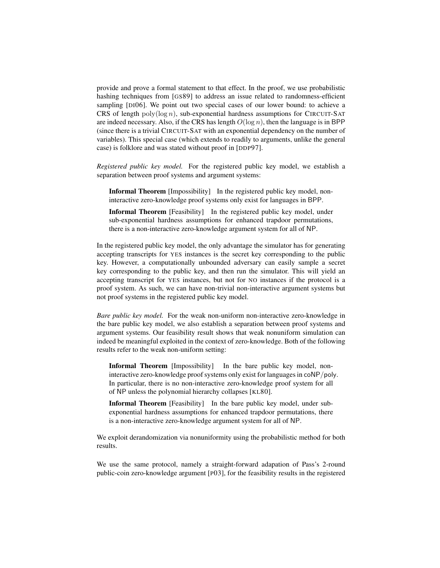provide and prove a formal statement to that effect. In the proof, we use probabilistic hashing techniques from [GS89] to address an issue related to randomness-efficient sampling [DI06]. We point out two special cases of our lower bound: to achieve a CRS of length  $poly(log n)$ , sub-exponential hardness assumptions for CIRCUIT-SAT are indeed necessary. Also, if the CRS has length  $O(\log n)$ , then the language is in BPP (since there is a trivial CIRCUIT-SAT with an exponential dependency on the number of variables). This special case (which extends to readily to arguments, unlike the general case) is folklore and was stated without proof in [DDP97].

*Registered public key model.* For the registered public key model, we establish a separation between proof systems and argument systems:

Informal Theorem [Impossibility] In the registered public key model, noninteractive zero-knowledge proof systems only exist for languages in BPP.

Informal Theorem [Feasibility] In the registered public key model, under sub-exponential hardness assumptions for enhanced trapdoor permutations, there is a non-interactive zero-knowledge argument system for all of NP.

In the registered public key model, the only advantage the simulator has for generating accepting transcripts for YES instances is the secret key corresponding to the public key. However, a computationally unbounded adversary can easily sample a secret key corresponding to the public key, and then run the simulator. This will yield an accepting transcript for YES instances, but not for NO instances if the protocol is a proof system. As such, we can have non-trivial non-interactive argument systems but not proof systems in the registered public key model.

*Bare public key model.* For the weak non-uniform non-interactive zero-knowledge in the bare public key model, we also establish a separation between proof systems and argument systems. Our feasibility result shows that weak nonuniform simulation can indeed be meaningful exploited in the context of zero-knowledge. Both of the following results refer to the weak non-uniform setting:

Informal Theorem [Impossibility] In the bare public key model, noninteractive zero-knowledge proof systems only exist for languages in coNP/poly. In particular, there is no non-interactive zero-knowledge proof system for all of NP unless the polynomial hierarchy collapses [KL80].

Informal Theorem [Feasibility] In the bare public key model, under subexponential hardness assumptions for enhanced trapdoor permutations, there is a non-interactive zero-knowledge argument system for all of NP.

We exploit derandomization via nonuniformity using the probabilistic method for both results.

We use the same protocol, namely a straight-forward adapation of Pass's 2-round public-coin zero-knowledge argument [P03], for the feasibility results in the registered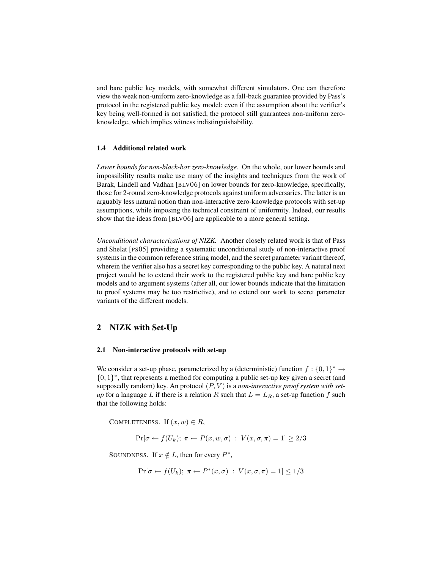and bare public key models, with somewhat different simulators. One can therefore view the weak non-uniform zero-knowledge as a fall-back guarantee provided by Pass's protocol in the registered public key model: even if the assumption about the verifier's key being well-formed is not satisfied, the protocol still guarantees non-uniform zeroknowledge, which implies witness indistinguishability.

#### 1.4 Additional related work

*Lower bounds for non-black-box zero-knowledge.* On the whole, our lower bounds and impossibility results make use many of the insights and techniques from the work of Barak, Lindell and Vadhan [BLV06] on lower bounds for zero-knowledge, specifically, those for 2-round zero-knowledge protocols against uniform adversaries. The latter is an arguably less natural notion than non-interactive zero-knowledge protocols with set-up assumptions, while imposing the technical constraint of uniformity. Indeed, our results show that the ideas from [BLV06] are applicable to a more general setting.

*Unconditional characterizations of NIZK.* Another closely related work is that of Pass and Shelat [PS05] providing a systematic unconditional study of non-interactive proof systems in the common reference string model, and the secret parameter variant thereof, wherein the verifier also has a secret key corresponding to the public key. A natural next project would be to extend their work to the registered public key and bare public key models and to argument systems (after all, our lower bounds indicate that the limitation to proof systems may be too restrictive), and to extend our work to secret parameter variants of the different models.

## 2 NIZK with Set-Up

#### 2.1 Non-interactive protocols with set-up

We consider a set-up phase, parameterized by a (deterministic) function  $f: \{0,1\}^* \to$ {0, 1} ∗ , that represents a method for computing a public set-up key given a secret (and supposedly random) key. An protocol (P, V ) is a *non-interactive proof system with setup* for a language L if there is a relation R such that  $L = L_R$ , a set-up function f such that the following holds:

COMPLETENESS. If  $(x, w) \in R$ ,

$$
\Pr[\sigma \leftarrow f(U_k); \ \pi \leftarrow P(x, w, \sigma) \ : \ V(x, \sigma, \pi) = 1] \ge 2/3
$$

SOUNDNESS. If  $x \notin L$ , then for every  $P^*$ ,

$$
\Pr[\sigma \leftarrow f(U_k); \ \pi \leftarrow P^*(x, \sigma) \ : \ V(x, \sigma, \pi) = 1] \le 1/3
$$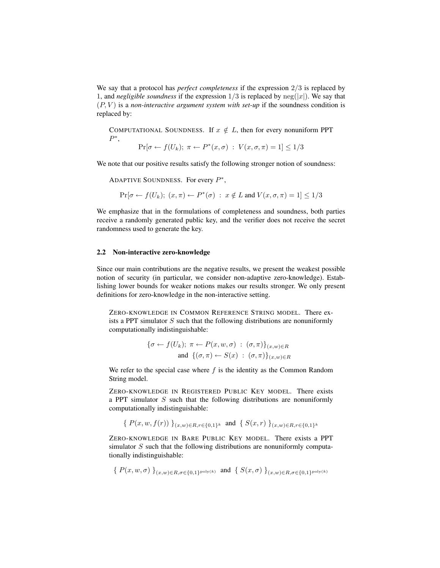We say that a protocol has *perfect completeness* if the expression 2/3 is replaced by 1, and *negligible soundness* if the expression  $1/3$  is replaced by  $neg(|x|)$ . We say that  $(P, V)$  is a *non-interactive argument system with set-up* if the soundness condition is replaced by:

COMPUTATIONAL SOUNDNESS. If  $x \notin L$ , then for every nonuniform PPT  $P^*,$ 

$$
\Pr[\sigma \leftarrow f(U_k); \ \pi \leftarrow P^*(x, \sigma) \ : \ V(x, \sigma, \pi) = 1] \leq 1/3
$$

We note that our positive results satisfy the following stronger notion of soundness:

ADAPTIVE SOUNDNESS. For every  $P^*$ ,

$$
\Pr[\sigma \leftarrow f(U_k); (x, \pi) \leftarrow P^*(\sigma) : x \notin L \text{ and } V(x, \sigma, \pi) = 1] \leq 1/3
$$

We emphasize that in the formulations of completeness and soundness, both parties receive a randomly generated public key, and the verifier does not receive the secret randomness used to generate the key.

#### 2.2 Non-interactive zero-knowledge

Since our main contributions are the negative results, we present the weakest possible notion of security (in particular, we consider non-adaptive zero-knowledge). Establishing lower bounds for weaker notions makes our results stronger. We only present definitions for zero-knowledge in the non-interactive setting.

ZERO-KNOWLEDGE IN COMMON REFERENCE STRING MODEL. There exists a PPT simulator S such that the following distributions are nonuniformly computationally indistinguishable:

$$
\{\sigma \leftarrow f(U_k); \ \pi \leftarrow P(x, w, \sigma) : (\sigma, \pi)\}_{(x, w) \in R}
$$
  
and 
$$
\{(\sigma, \pi) \leftarrow S(x) : (\sigma, \pi)\}_{(x, w) \in R}
$$

We refer to the special case where  $f$  is the identity as the Common Random String model.

ZERO-KNOWLEDGE IN REGISTERED PUBLIC KEY MODEL. There exists a PPT simulator  $S$  such that the following distributions are nonuniformly computationally indistinguishable:

 $\{ P(x, w, f(r)) \}_{(x, w) \in R, r \in \{0, 1\}^k}$  and  $\{ S(x, r) \}_{(x, w) \in R, r \in \{0, 1\}^k}$ 

ZERO-KNOWLEDGE IN BARE PUBLIC KEY MODEL. There exists a PPT simulator S such that the following distributions are nonuniformly computationally indistinguishable:

$$
\{ P(x, w, \sigma) \}_{(x, w) \in R, \sigma \in \{0, 1\}^{\text{poly}(k)}} \text{ and } \{ S(x, \sigma) \}_{(x, w) \in R, \sigma \in \{0, 1\}^{\text{poly}(k)}}
$$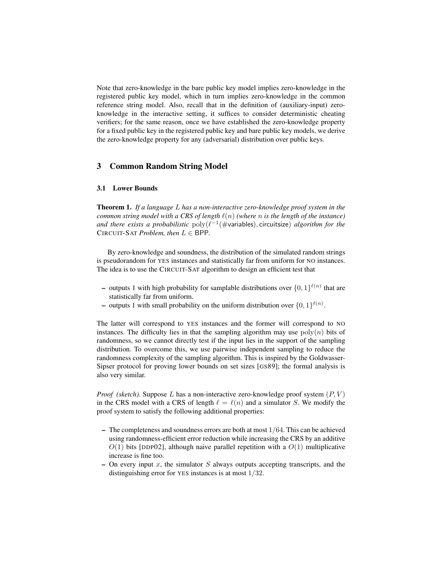Note that zero-knowledge in the bare public key model implies zero-knowledge in the registered public key model, which in turn implies zero-knowledge in the common reference string model. Also, recall that in the definition of (auxiliary-input) zeroknowledge in the interactive setting, it suffices to consider deterministic cheating verifiers; for the same reason, once we have established the zero-knowledge property for a fixed public key in the registered public key and bare public key models, we derive the zero-knowledge property for any (adversarial) distribution over public keys.

## 3 Common Random String Model

#### 3.1 Lower Bounds

Theorem 1. *If a language* L *has a non-interactive zero-knowledge proof system in the common string model with a CRS of length*  $\ell(n)$  *(where n is the length of the instance) and there exists a probabilistic* poly( $\ell^{-1}$ (#variables), circuitsize) *algorithm for the* CIRCUIT-SAT *Problem, then*  $L \in$  BPP.

By zero-knowledge and soundness, the distribution of the simulated random strings is pseudorandom for YES instances and statistically far from uniform for NO instances. The idea is to use the CIRCUIT-SAT algorithm to design an efficient test that

- outputs 1 with high probability for samplable distributions over  $\{0,1\}^{\ell(n)}$  that are statistically far from uniform.
- outputs 1 with small probability on the uniform distribution over  $\{0,1\}^{\ell(n)}$ .

The latter will correspond to YES instances and the former will correspond to NO instances. The difficulty lies in that the sampling algorithm may use  $poly(n)$  bits of randomness, so we cannot directly test if the input lies in the support of the sampling distribution. To overcome this, we use pairwise independent sampling to reduce the randomness complexity of the sampling algorithm. This is inspired by the Goldwasser-Sipser protocol for proving lower bounds on set sizes [GS89]; the formal analysis is also very similar.

*Proof (sketch).* Suppose L has a non-interactive zero-knowledge proof system  $(P, V)$ in the CRS model with a CRS of length  $\ell = \ell(n)$  and a simulator S. We modify the proof system to satisfy the following additional properties:

- $-$  The completeness and soundness errors are both at most  $1/64$ . This can be achieved using randomness-efficient error reduction while increasing the CRS by an additive  $O(1)$  bits [DDP02], although naive parallel repetition with a  $O(1)$  multiplicative increase is fine too.
- $-$  On every input x, the simulator S always outputs accepting transcripts, and the distinguishing error for YES instances is at most 1/32.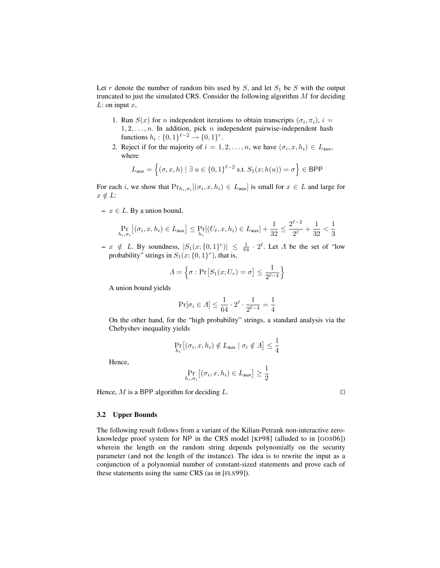Let r denote the number of random bits used by  $S$ , and let  $S_1$  be  $S$  with the output truncated to just the simulated CRS. Consider the following algorithm  $M$  for deciding  $L:$  on input  $x$ ,

- 1. Run  $S(x)$  for *n* independent iterations to obtain transcripts  $(\sigma_i, \pi_i)$ ,  $i =$  $1, 2, \ldots, n$ . In addition, pick n independent pairwise-independent hash functions  $h_i: \{0,1\}^{\ell-2} \to \{0,1\}^r$ .
- 2. Reject if for the majority of  $i = 1, 2, \ldots, n$ , we have  $(\sigma_i, x, h_i) \in L_{\text{aux}}$ , where

$$
L_{\text{aux}} = \left\{ (\sigma, x, h) \mid \exists \ u \in \{0, 1\}^{\ell - 2} \text{ s.t. } S_1(x; h(u)) = \sigma \right\} \in \text{BPP}
$$

For each *i*, we show that  $Pr_{h_i, \sigma_i}[(\sigma_i, x, h_i) \in L_{\text{aux}}]$  is small for  $x \in L$  and large for  $x \notin L$ :

 $- x \in L$ . By a union bound,

$$
\Pr_{h_i, \sigma_i} \left[ (\sigma_i, x, h_i) \in L_{\text{aux}} \right] \le \Pr_{h_i} [(U_\ell, x, h_i) \in L_{\text{aux}}] + \frac{1}{32} \le \frac{2^{\ell - 2}}{2^{\ell}} + \frac{1}{32} < \frac{1}{3}
$$

 $- x \notin L$ . By soundness,  $|S_1(x; {0,1}^r)| \leq \frac{1}{64} \cdot 2^{\ell}$ . Let  $\Lambda$  be the set of "low probability" strings in  $S_1(x; \{0, 1\}^r)$ , that is,

$$
\Lambda = \left\{ \sigma : \Pr\left[S_1(x; U_r) = \sigma\right] \le \frac{1}{2^{\ell - 4}} \right\}
$$

A union bound yields

$$
\Pr[\sigma_i \in \Lambda] \le \frac{1}{64} \cdot 2^{\ell} \cdot \frac{1}{2^{\ell-4}} = \frac{1}{4}
$$

On the other hand, for the "high probability" strings, a standard analysis via the Chebyshev inequality yields

$$
\Pr_{h_i} \big[ (\sigma_i, x, h_i) \notin L_{\text{aux}} \mid \sigma_i \notin A \big] \le \frac{1}{4}
$$

Hence,

$$
\Pr_{h_i, \sigma_i} \big[ (\sigma_i, x, h_i) \in L_{\text{aux}} \big] \ge \frac{1}{2}
$$

Hence, M is a BPP algorithm for deciding L.  $\Box$ 

#### 3.2 Upper Bounds

The following result follows from a variant of the Kilian-Petrank non-interactive zeroknowledge proof system for NP in the CRS model [KP98] (alluded to in [GOS06]) wherein the length on the random string depends polynomially on the security parameter (and not the length of the instance). The idea is to rewrite the input as a conjunction of a polynomial number of constant-sized statements and prove each of these statements using the same CRS (as in [FLS99]).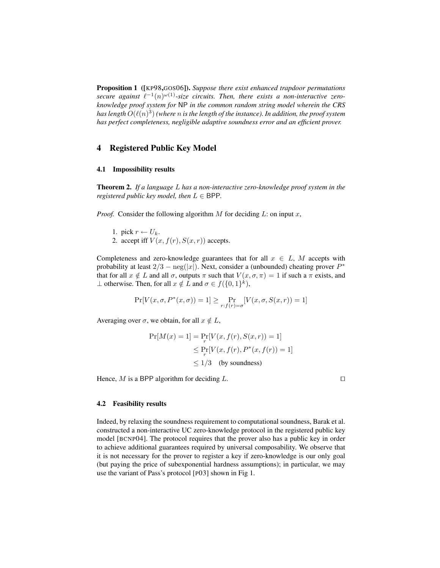Proposition 1 ([KP98,GOS06]). *Suppose there exist enhanced trapdoor permutations* secure against  $\ell^{-1}(n)^{\omega(1)}$ -size circuits. Then, there exists a non-interactive zero*knowledge proof system for* NP *in the common random string model wherein the CRS* has length  $O(\ell(n)^3)$  (where  $n$  is the length of the instance). In addition, the proof system *has perfect completeness, negligible adaptive soundness error and an efficient prover.*

## 4 Registered Public Key Model

#### 4.1 Impossibility results

Theorem 2. *If a language* L *has a non-interactive zero-knowledge proof system in the registered public key model, then*  $L \in BPP$ *.* 

*Proof.* Consider the following algorithm  $M$  for deciding  $L$ : on input  $x$ ,

- 1. pick  $r \leftarrow U_k$ .
- 2. accept iff  $V(x, f(r), S(x, r))$  accepts.

Completeness and zero-knowledge guarantees that for all  $x \in L$ , M accepts with probability at least  $2/3 - \text{neg}(|x|)$ . Next, consider a (unbounded) cheating prover  $P^*$ that for all  $x \notin L$  and all  $\sigma$ , outputs  $\pi$  such that  $V(x, \sigma, \pi) = 1$  if such a  $\pi$  exists, and  $\perp$  otherwise. Then, for all  $x \notin L$  and  $\sigma \in f(\{0, 1\}^k)$ ,

$$
\Pr[V(x, \sigma, P^*(x, \sigma)) = 1] \ge \Pr_{r: f(r) = \sigma}[V(x, \sigma, S(x, r)) = 1]
$$

Averaging over  $\sigma$ , we obtain, for all  $x \notin L$ ,

$$
\Pr[M(x) = 1] = \Pr_r[V(x, f(r), S(x, r)) = 1]
$$

$$
\leq \Pr_r[V(x, f(r), P^*(x, f(r)) = 1]
$$

$$
\leq 1/3 \quad \text{(by soundness)}
$$

Hence,  $M$  is a BPP algorithm for deciding  $L$ .

#### 4.2 Feasibility results

Indeed, by relaxing the soundness requirement to computational soundness, Barak et al. constructed a non-interactive UC zero-knowledge protocol in the registered public key model [BCNP04]. The protocol requires that the prover also has a public key in order to achieve additional guarantees required by universal composability. We observe that it is not necessary for the prover to register a key if zero-knowledge is our only goal (but paying the price of subexponential hardness assumptions); in particular, we may use the variant of Pass's protocol [P03] shown in Fig 1.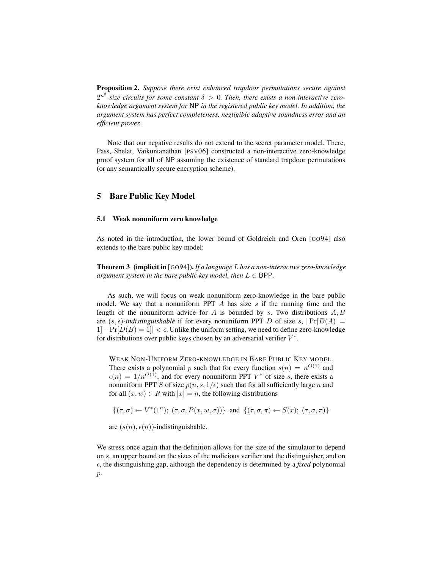Proposition 2. *Suppose there exist enhanced trapdoor permutations secure against*  $2^{n^{\delta}}$ -size circuits for some constant  $\delta > 0$ . Then, there exists a non-interactive zero*knowledge argument system for* NP *in the registered public key model. In addition, the argument system has perfect completeness, negligible adaptive soundness error and an efficient prover.*

Note that our negative results do not extend to the secret parameter model. There, Pass, Shelat, Vaikuntanathan [PSV06] constructed a non-interactive zero-knowledge proof system for all of NP assuming the existence of standard trapdoor permutations (or any semantically secure encryption scheme).

## 5 Bare Public Key Model

#### 5.1 Weak nonuniform zero knowledge

As noted in the introduction, the lower bound of Goldreich and Oren [GO94] also extends to the bare public key model:

Theorem 3 (implicit in [GO94]). *If a language* L *has a non-interactive zero-knowledge argument system in the bare public key model, then*  $L \in BPP$ *.* 

As such, we will focus on weak nonuniform zero-knowledge in the bare public model. We say that a nonuniform PPT  $A$  has size  $s$  if the running time and the length of the nonuniform advice for A is bounded by s. Two distributions  $A, B$ are  $(s, \epsilon)$ *-indistinguishable* if for every nonuniform PPT D of size s,  $|Pr[D(A)]|$  $|1|-\Pr[D(B) = 1]| < \epsilon$ . Unlike the uniform setting, we need to define zero-knowledge for distributions over public keys chosen by an adversarial verifier  $V^*$ .

WEAK NON-UNIFORM ZERO-KNOWLEDGE IN BARE PUBLIC KEY MODEL. There exists a polynomial p such that for every function  $s(n) = n^{O(1)}$  and  $\epsilon(n) = 1/n^{O(1)}$ , and for every nonuniform PPT  $V^*$  of size s, there exists a nonuniform PPT S of size  $p(n, s, 1/\epsilon)$  such that for all sufficiently large n and for all  $(x, w) \in R$  with  $|x| = n$ , the following distributions

 $\{(\tau,\sigma) \leftarrow V^*(1^n); (\tau,\sigma,P(x,w,\sigma))\}$  and  $\{(\tau,\sigma,\pi) \leftarrow S(x); (\tau,\sigma,\pi)\}$ 

are  $(s(n), \epsilon(n))$ -indistinguishable.

We stress once again that the definition allows for the size of the simulator to depend on s, an upper bound on the sizes of the malicious verifier and the distinguisher, and on  $\epsilon$ , the distinguishing gap, although the dependency is determined by a *fixed* polynomial p.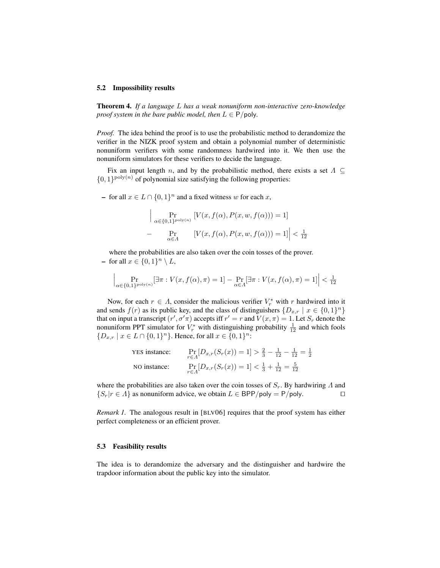#### 5.2 Impossibility results

Theorem 4. *If a language* L *has a weak nonuniform non-interactive zero-knowledge proof system in the bare public model, then*  $L \in P$ /poly.

*Proof.* The idea behind the proof is to use the probabilistic method to derandomize the verifier in the NIZK proof system and obtain a polynomial number of deterministic nonuniform verifiers with some randomness hardwired into it. We then use the nonuniform simulators for these verifiers to decide the language.

Fix an input length n, and by the probabilistic method, there exists a set  $\Lambda \subseteq$  $\{0,1\}^{\text{poly}(n)}$  of polynomial size satisfying the following properties:

− for all  $x \in L \cap \{0,1\}^n$  and a fixed witness w for each x,

$$
\left| \Pr_{\alpha \in \{0,1\}^{\text{poly}(n)}} \left[ V(x, f(\alpha), P(x, w, f(\alpha))) = 1 \right] \right|
$$
  
- 
$$
\Pr_{\alpha \in \Lambda} \left| V(x, f(\alpha), P(x, w, f(\alpha))) = 1 \right| < \frac{1}{12}
$$

where the probabilities are also taken over the coin tosses of the prover. - for all  $x \in \{0,1\}^n \setminus L$ ,

$$
\left|\Pr_{\alpha \in \{0,1\}^{\text{poly}(n)}}[\exists \pi : V(x, f(\alpha), \pi) = 1] - \Pr_{\alpha \in \Lambda}[\exists \pi : V(x, f(\alpha), \pi) = 1]\right| < \frac{1}{12}
$$

Now, for each  $r \in \Lambda$ , consider the malicious verifier  $V_r^*$  with r hardwired into it and sends  $f(r)$  as its public key, and the class of distinguishers  $\{D_{x,r} | x \in \{0,1\}^n\}$ that on input a transcript  $(r', \sigma' \pi)$  accepts iff  $r' = r$  and  $V(x, \pi) = 1$ . Let  $S_r$  denote the nonuniform PPT simulator for  $V_r^*$  with distinguishing probability  $\frac{1}{12}$  and which fools  $\{D_{x,r} \mid x \in L \cap \{0,1\}^n\}$ . Hence, for all  $x \in \{0,1\}^n$ :

Yes instance:

\n
$$
\Pr_{r \in A}[D_{x,r}(S_r(x)) = 1] > \frac{2}{3} - \frac{1}{12} - \frac{1}{12} = \frac{1}{2}
$$
\nNo instance:

\n
$$
\Pr_{r \in A}[D_{x,r}(S_r(x)) = 1] < \frac{1}{3} + \frac{1}{12} = \frac{5}{12}
$$

where the probabilities are also taken over the coin tosses of  $S_r$ . By hardwiring  $\Lambda$  and  ${S_r|r \in \Lambda}$  as nonuniform advice, we obtain  $L \in BPP/poly = P/poly.$ 

*Remark 1.* The analogous result in [BLV06] requires that the proof system has either perfect completeness or an efficient prover.

#### 5.3 Feasibility results

The idea is to derandomize the adversary and the distinguisher and hardwire the trapdoor information about the public key into the simulator.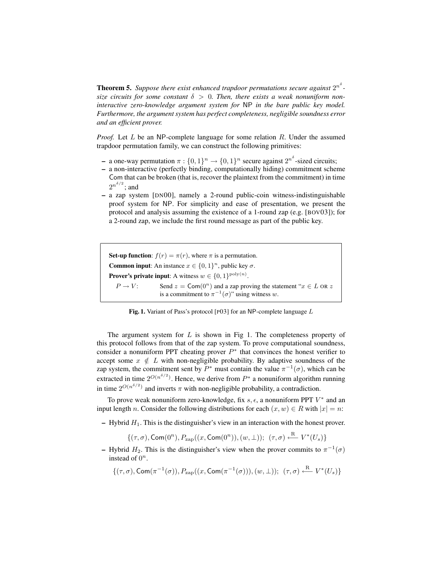**Theorem 5.** Suppose there exist enhanced trapdoor permutations secure against  $2^{n^{\delta}}$ size circuits for some constant  $\delta > 0$ . Then, there exists a weak nonuniform non*interactive zero-knowledge argument system for* NP *in the bare public key model. Furthermore, the argument system has perfect completeness, negligible soundness error and an efficient prover.*

*Proof.* Let L be an NP-complete language for some relation R. Under the assumed trapdoor permutation family, we can construct the following primitives:

- a one-way permutation  $\pi : \{0,1\}^n \to \{0,1\}^n$  secure against  $2^{n^{\delta}}$ -sized circuits;
- a non-interactive (perfectly binding, computationally hiding) commitment scheme Com that can be broken (that is, recover the plaintext from the commitment) in time  $2^{n^{\delta/2}}$ ; and
- a zap system [DN00], namely a 2-round public-coin witness-indistinguishable proof system for NP. For simplicity and ease of presentation, we present the protocol and analysis assuming the existence of a 1-round zap (e.g. [BOV03]); for a 2-round zap, we include the first round message as part of the public key.

**Set-up function:**  $f(r) = \pi(r)$ , where  $\pi$  is a permutation. **Common input**: An instance  $x \in \{0, 1\}^n$ , public key  $\sigma$ . **Prover's private input**: A witness  $w \in \{0, 1\}^{\text{poly}(n)}$ .  $P \to V$ : Send  $z = \text{Com}(0^n)$  and a zap proving the statement " $x \in L$  OR z is a commitment to  $\pi^{-1}(\sigma)$ " using witness w.

Fig. 1. Variant of Pass's protocol [P03] for an NP-complete language  $L$ 

The argument system for  $L$  is shown in Fig 1. The completeness property of this protocol follows from that of the zap system. To prove computational soundness, consider a nonuniform PPT cheating prover  $P^*$  that convinces the honest verifier to accept some  $x \notin L$  with non-negligible probability. By adaptive soundness of the zap system, the commitment sent by  $P^*$  must contain the value  $\pi^{-1}(\sigma)$ , which can be extracted in time  $2^{O(n^{\delta/2})}$ . Hence, we derive from  $P^*$  a nonuniform algorithm running in time  $2^{O(n^{\delta/2})}$  and inverts  $\pi$  with non-negligible probability, a contradiction.

To prove weak nonuniform zero-knowledge, fix  $s, \epsilon$ , a nonuniform PPT  $V^*$  and an input length n. Consider the following distributions for each  $(x, w) \in R$  with  $|x| = n$ :

– Hybrid  $H_1$ . This is the distinguisher's view in an interaction with the honest prover.

 $\{(\tau,\sigma),\mathsf{Com}(0^n),P_{\mathsf{zap}}((x,\mathsf{Com}(0^n)),(w,\bot));\ (\tau,\sigma)\stackrel{\mathsf{R}}{\longleftarrow} V^*(U_s)\}$ 

- Hybrid  $H_2$ . This is the distinguisher's view when the prover commits to  $\pi^{-1}(\sigma)$ instead of  $0^n$ .

$$
\{(\tau,\sigma),\mathsf{Com}(\pi^{-1}(\sigma)),P_{\mathrm{zap}}((x,\mathsf{Com}(\pi^{-1}(\sigma))),(w,\bot));\ (\tau,\sigma)\xleftarrow{\mathrm{R}} V^*(U_s)\}
$$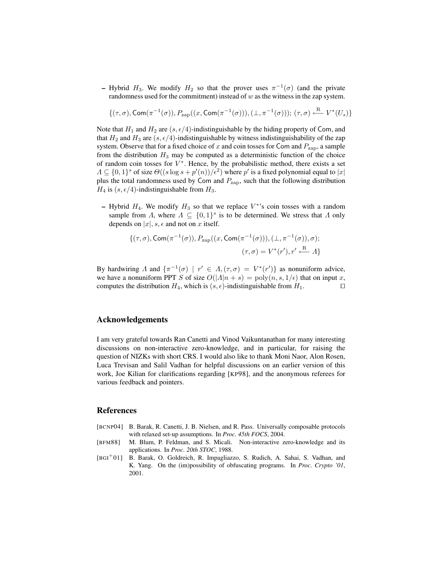- Hybrid  $H_3$ . We modify  $H_2$  so that the prover uses  $\pi^{-1}(\sigma)$  (and the private randomness used for the commitment) instead of  $w$  as the witness in the zap system.

$$
\{(\tau,\sigma),\mathsf{Com}(\pi^{-1}(\sigma)),P_{\text{zap}}((x,\mathsf{Com}(\pi^{-1}(\sigma))),(\bot,\pi^{-1}(\sigma)));\ (\tau,\sigma)\xleftarrow{\text{R}} V^*(U_s)\}
$$

Note that  $H_1$  and  $H_2$  are  $(s, \epsilon/4)$ -indistinguishable by the hiding property of Com, and that  $H_2$  and  $H_3$  are  $(s, \epsilon/4)$ -indistinguishable by witness indistinguishability of the zap system. Observe that for a fixed choice of x and coin tosses for Com and  $P_{\text{zap}}$ , a sample from the distribution  $H_3$  may be computed as a deterministic function of the choice of random coin tosses for  $V^*$ . Hence, by the probabilistic method, there exists a set  $\Lambda \subseteq \{0,1\}^s$  of size  $\Theta((s \log s + p'(n))/\epsilon^2)$  where  $p'$  is a fixed polynomial equal to  $|x|$ plus the total randomness used by Com and  $P_{\text{zap}}$ , such that the following distribution  $H_4$  is  $(s, \epsilon/4)$ -indistinguishable from  $H_3$ .

- Hybrid  $H_4$ . We modify  $H_3$  so that we replace  $V^*$ 's coin tosses with a random sample from  $\Lambda$ , where  $\Lambda \subseteq \{0,1\}^s$  is to be determined. We stress that  $\Lambda$  only depends on  $|x|, s, \epsilon$  and not on x itself.

$$
\{(\tau,\sigma),\mathsf{Com}(\pi^{-1}(\sigma)),P_{\text{zap}}((x,\mathsf{Com}(\pi^{-1}(\sigma))),(\bot,\pi^{-1}(\sigma)),\sigma); (\tau,\sigma)=V^*(r'),r'\stackrel{\text{R}}{\longleftarrow}\Lambda\}
$$

By hardwiring  $\Lambda$  and  $\{\pi^{-1}(\sigma) \mid r' \in \Lambda, (\tau, \sigma) = V^*(r')\}$  as nonuniform advice, we have a nonuniform PPT S of size  $O(|A|n + s) = \text{poly}(n, s, 1/\epsilon)$  that on input x, computes the distribution  $H_4$ , which is  $(s, \epsilon)$ -indistinguishable from  $H_1$ .

## Acknowledgements

I am very grateful towards Ran Canetti and Vinod Vaikuntanathan for many interesting discussions on non-interactive zero-knowledge, and in particular, for raising the question of NIZKs with short CRS. I would also like to thank Moni Naor, Alon Rosen, Luca Trevisan and Salil Vadhan for helpful discussions on an earlier version of this work, Joe Kilian for clarifications regarding [KP98], and the anonymous referees for various feedback and pointers.

## References

- [BCNP04] B. Barak, R. Canetti, J. B. Nielsen, and R. Pass. Universally composable protocols with relaxed set-up assumptions. In *Proc. 45th FOCS*, 2004.
- [BFM88] M. Blum, P. Feldman, and S. Micali. Non-interactive zero-knowledge and its applications. In *Proc. 20th STOC*, 1988.
- [BGI<sup>+</sup>01] B. Barak, O. Goldreich, R. Impagliazzo, S. Rudich, A. Sahai, S. Vadhan, and K. Yang. On the (im)possibility of obfuscating programs. In *Proc. Crypto '01*, 2001.